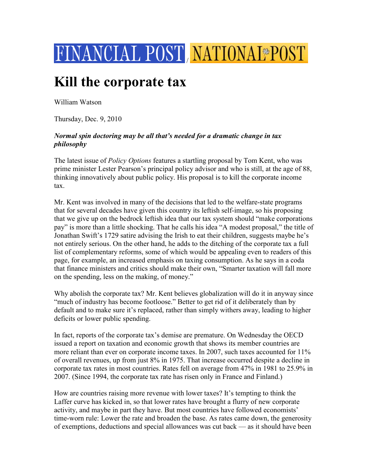

## **Kill the corporate tax**

William Watson

Thursday, Dec. 9, 2010

## *Normal spin doctoring may be all that's needed for a dramatic change in tax philosophy*

The latest issue of *Policy Options* features a startling proposal by Tom Kent, who was prime minister Lester Pearson's principal policy advisor and who is still, at the age of 88, thinking innovatively about public policy. His proposal is to kill the corporate income tax.

Mr. Kent was involved in many of the decisions that led to the welfare-state programs that for several decades have given this country its leftish self-image, so his proposing that we give up on the bedrock leftish idea that our tax system should "make corporations pay" is more than a little shocking. That he calls his idea "A modest proposal," the title of Jonathan Swift's 1729 satire advising the Irish to eat their children, suggests maybe he's not entirely serious. On the other hand, he adds to the ditching of the corporate tax a full list of complementary reforms, some of which would be appealing even to readers of this page, for example, an increased emphasis on taxing consumption. As he says in a coda that finance ministers and critics should make their own, "Smarter taxation will fall more on the spending, less on the making, of money."

Why abolish the corporate tax? Mr. Kent believes globalization will do it in anyway since "much of industry has become footloose." Better to get rid of it deliberately than by default and to make sure it's replaced, rather than simply withers away, leading to higher deficits or lower public spending.

In fact, reports of the corporate tax's demise are premature. On Wednesday the OECD issued a report on taxation and economic growth that shows its member countries are more reliant than ever on corporate income taxes. In 2007, such taxes accounted for 11% of overall revenues, up from just 8% in 1975. That increase occurred despite a decline in corporate tax rates in most countries. Rates fell on average from 47% in 1981 to 25.9% in 2007. (Since 1994, the corporate tax rate has risen only in France and Finland.)

How are countries raising more revenue with lower taxes? It's tempting to think the Laffer curve has kicked in, so that lower rates have brought a flurry of new corporate activity, and maybe in part they have. But most countries have followed economists' time-worn rule: Lower the rate and broaden the base. As rates came down, the generosity of exemptions, deductions and special allowances was cut back — as it should have been